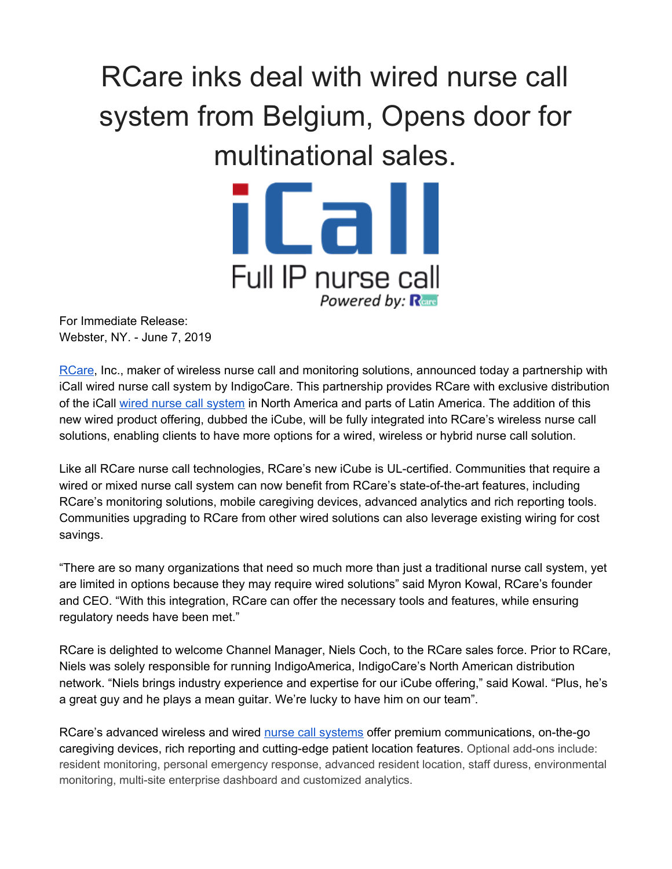## RCare inks deal with wired nurse call system from Belgium, Opens door for multinational sales.



For Immediate Release: Webster, NY. - June 7, 2019

[RCare,](http://rcareinc.com/) Inc., maker of wireless nurse call and monitoring solutions, announced today a partnership with iCall wired nurse call system by IndigoCare. This partnership provides RCare with exclusive distribution of the iCall wired nurse call [system](https://rcareinc.com/products/icall/) in North America and parts of Latin America. The addition of this new wired product offering, dubbed the iCube, will be fully integrated into RCare's wireless nurse call solutions, enabling clients to have more options for a wired, wireless or hybrid nurse call solution.

Like all RCare nurse call technologies, RCare's new iCube is UL-certified. Communities that require a wired or mixed nurse call system can now benefit from RCare's state-of-the-art features, including RCare's monitoring solutions, mobile caregiving devices, advanced analytics and rich reporting tools. Communities upgrading to RCare from other wired solutions can also leverage existing wiring for cost savings.

"There are so many organizations that need so much more than just a traditional nurse call system, yet are limited in options because they may require wired solutions" said Myron Kowal, RCare's founder and CEO. "With this integration, RCare can offer the necessary tools and features, while ensuring regulatory needs have been met."

RCare is delighted to welcome Channel Manager, Niels Coch, to the RCare sales force. Prior to RCare, Niels was solely responsible for running IndigoAmerica, IndigoCare's North American distribution network. "Niels brings industry experience and expertise for our iCube offering," said Kowal. "Plus, he's a great guy and he plays a mean guitar. We're lucky to have him on our team".

RCare's advanced wireless and wired nurse call [systems](https://rcareinc.com/) offer premium communications, on-the-go caregiving devices, rich reporting and cutting-edge patient location features. Optional add-ons include: resident monitoring, personal emergency response, advanced resident location, staff duress, environmental monitoring, multi-site enterprise dashboard and customized analytics.